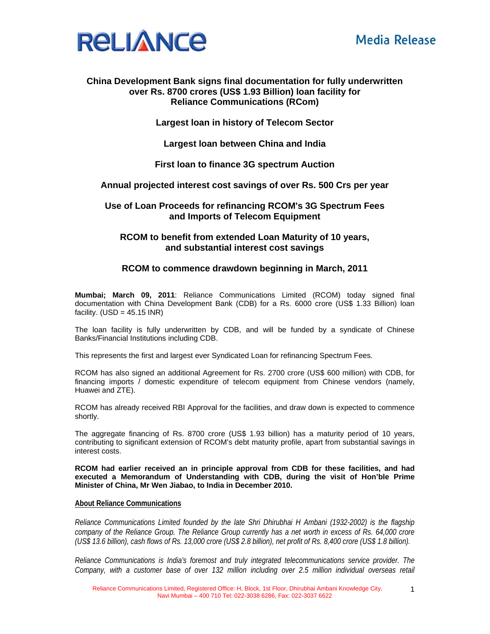

# **China Development Bank signs final documentation for fully underwritten over Rs. 8700 crores (US\$ 1.93 Billion) loan facility for Reliance Communications (RCom)**

# **Largest loan in history of Telecom Sector**

**Largest loan between China and India** 

## **First loan to finance 3G spectrum Auction**

# **Annual projected interest cost savings of over Rs. 500 Crs per year**

## **Use of Loan Proceeds for refinancing RCOM's 3G Spectrum Fees and Imports of Telecom Equipment**

# **RCOM to benefit from extended Loan Maturity of 10 years, and substantial interest cost savings**

## **RCOM to commence drawdown beginning in March, 2011**

**Mumbai; March 09, 2011**: Reliance Communications Limited (RCOM) today signed final documentation with China Development Bank (CDB) for a Rs. 6000 crore (US\$ 1.33 Billion) loan facility.  $(USD = 45.15$  INR)

The loan facility is fully underwritten by CDB, and will be funded by a syndicate of Chinese Banks/Financial Institutions including CDB.

This represents the first and largest ever Syndicated Loan for refinancing Spectrum Fees.

RCOM has also signed an additional Agreement for Rs. 2700 crore (US\$ 600 million) with CDB, for financing imports / domestic expenditure of telecom equipment from Chinese vendors (namely, Huawei and ZTE).

RCOM has already received RBI Approval for the facilities, and draw down is expected to commence shortly.

The aggregate financing of Rs. 8700 crore (US\$ 1.93 billion) has a maturity period of 10 years, contributing to significant extension of RCOM's debt maturity profile, apart from substantial savings in interest costs.

**RCOM had earlier received an in principle approval from CDB for these facilities, and had executed a Memorandum of Understanding with CDB, during the visit of Hon'ble Prime Minister of China, Mr Wen Jiabao, to India in December 2010.** 

#### **About Reliance Communications**

*Reliance Communications Limited founded by the late Shri Dhirubhai H Ambani (1932-2002) is the flagship company of the Reliance Group. The Reliance Group currently has a net worth in excess of Rs. 64,000 crore (US\$ 13.6 billion), cash flows of Rs. 13,000 crore (US\$ 2.8 billion), net profit of Rs. 8,400 crore (US\$ 1.8 billion).* 

*Reliance Communications is India's foremost and truly integrated telecommunications service provider. The Company, with a customer base of over 132 million including over 2.5 million individual overseas retail* 

1